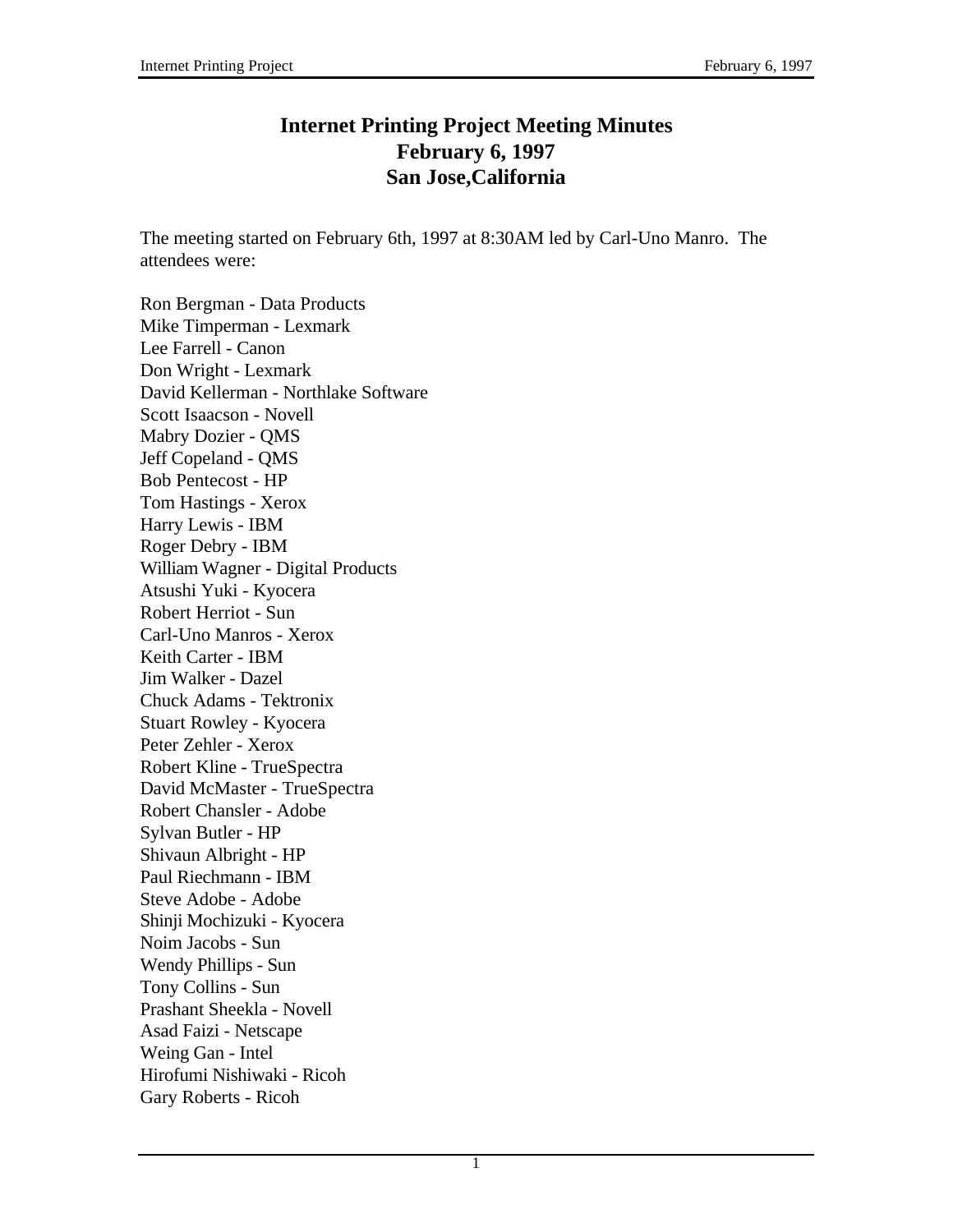# **Internet Printing Project Meeting Minutes February 6, 1997 San Jose,California**

The meeting started on February 6th, 1997 at 8:30AM led by Carl-Uno Manro. The attendees were:

Ron Bergman - Data Products Mike Timperman - Lexmark Lee Farrell - Canon Don Wright - Lexmark David Kellerman - Northlake Software Scott Isaacson - Novell Mabry Dozier - QMS Jeff Copeland - QMS Bob Pentecost - HP Tom Hastings - Xerox Harry Lewis - IBM Roger Debry - IBM William Wagner - Digital Products Atsushi Yuki - Kyocera Robert Herriot - Sun Carl-Uno Manros - Xerox Keith Carter - IBM Jim Walker - Dazel Chuck Adams - Tektronix Stuart Rowley - Kyocera Peter Zehler - Xerox Robert Kline - TrueSpectra David McMaster - TrueSpectra Robert Chansler - Adobe Sylvan Butler - HP Shivaun Albright - HP Paul Riechmann - IBM Steve Adobe - Adobe Shinji Mochizuki - Kyocera Noim Jacobs - Sun Wendy Phillips - Sun Tony Collins - Sun Prashant Sheekla - Novell Asad Faizi - Netscape Weing Gan - Intel Hirofumi Nishiwaki - Ricoh Gary Roberts - Ricoh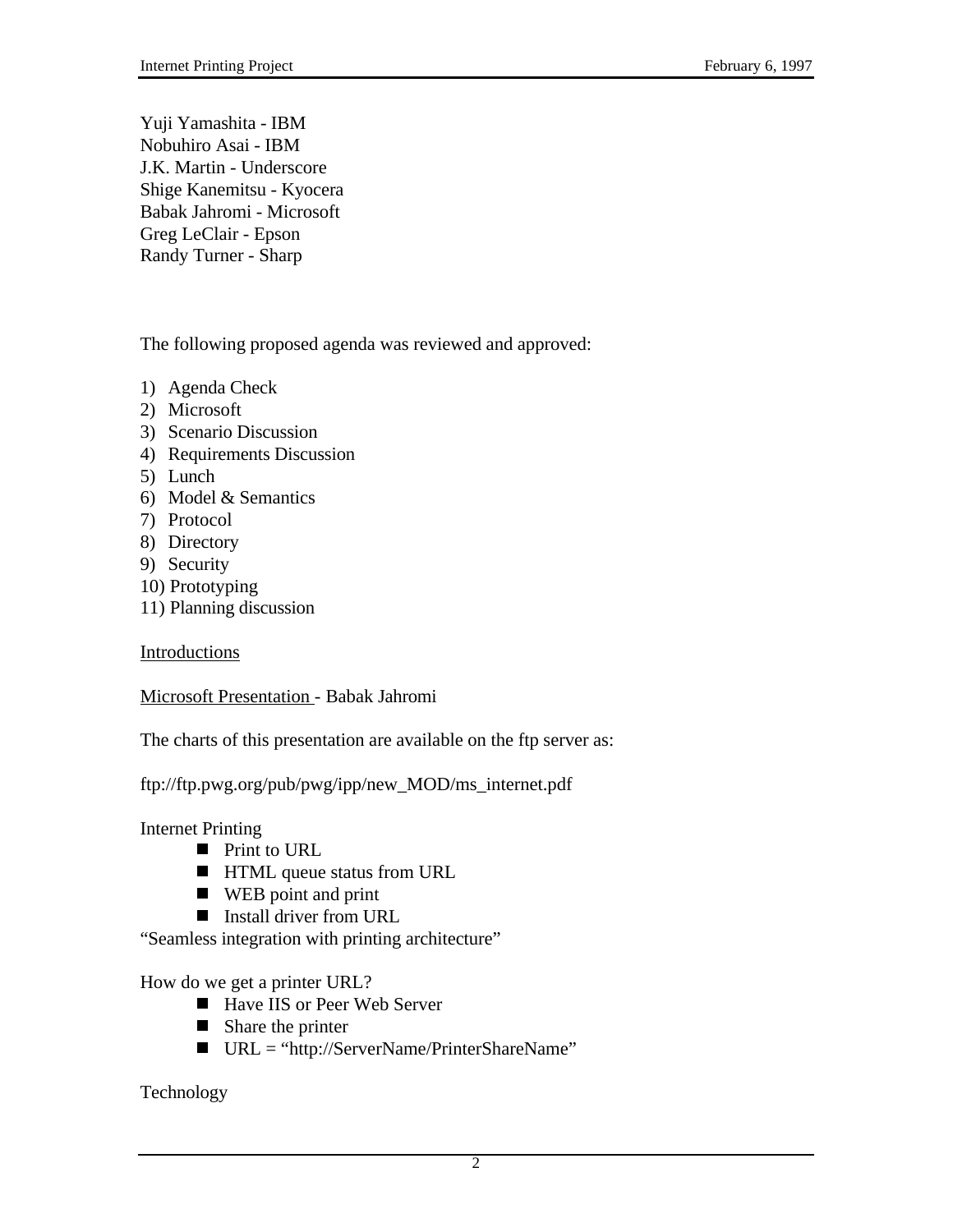Yuji Yamashita - IBM Nobuhiro Asai - IBM J.K. Martin - Underscore Shige Kanemitsu - Kyocera Babak Jahromi - Microsoft Greg LeClair - Epson Randy Turner - Sharp

The following proposed agenda was reviewed and approved:

- 1) Agenda Check
- 2) Microsoft
- 3) Scenario Discussion
- 4) Requirements Discussion
- 5) Lunch
- 6) Model & Semantics
- 7) Protocol
- 8) Directory
- 9) Security
- 10) Prototyping
- 11) Planning discussion

**Introductions** 

Microsoft Presentation - Babak Jahromi

The charts of this presentation are available on the ftp server as:

ftp://ftp.pwg.org/pub/pwg/ipp/new\_MOD/ms\_internet.pdf

Internet Printing

- $\blacksquare$  Print to URL
- **HTML** queue status from URL
- $\blacksquare$  WEB point and print
- Install driver from URL

"Seamless integration with printing architecture"

How do we get a printer URL?

- $\blacksquare$  Have IIS or Peer Web Server
- Share the printer
- $\blacksquare$  URL = "http://ServerName/PrinterShareName"

Technology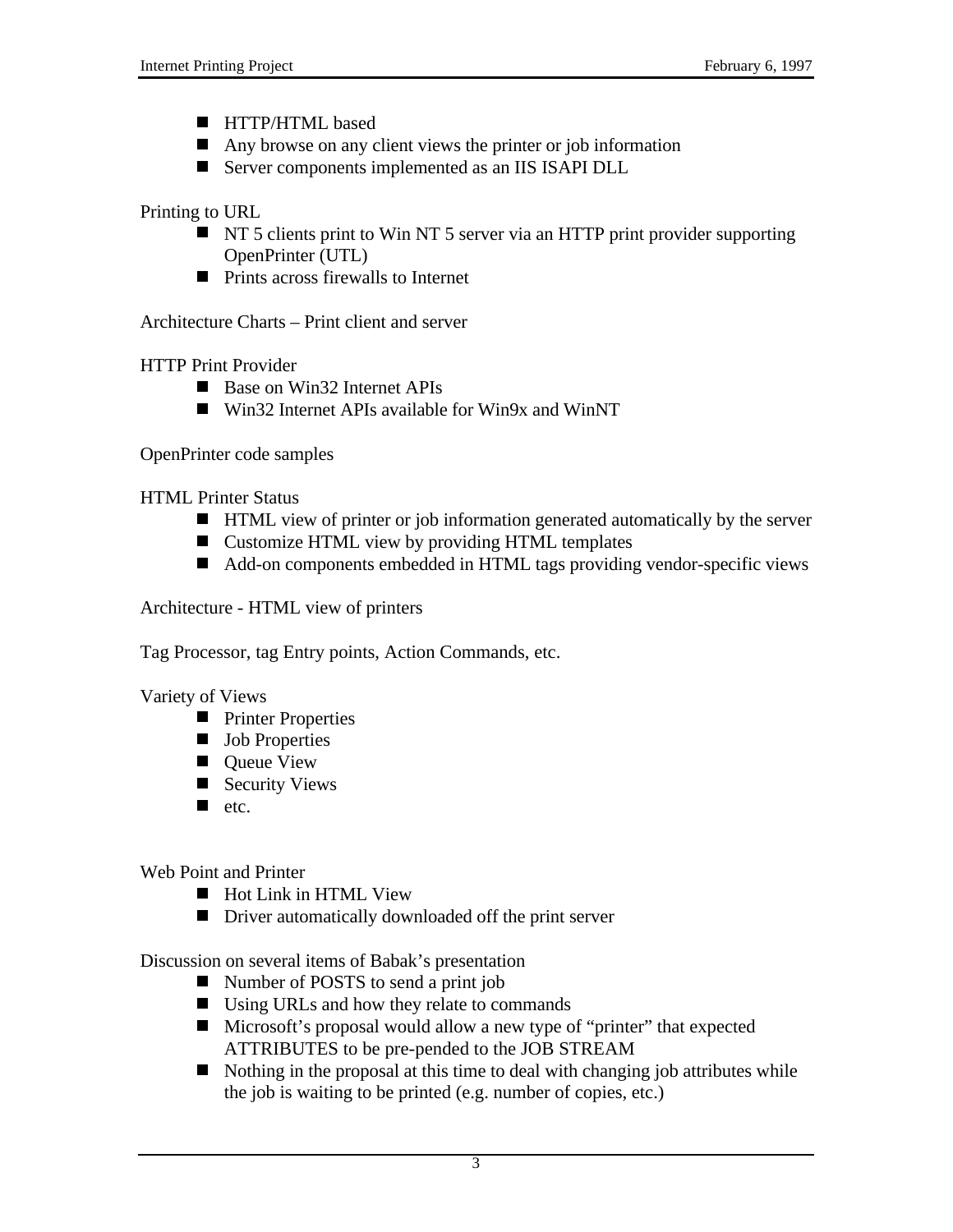- **HTTP/HTML** based
- Any browse on any client views the printer or job information
- Server components implemented as an IIS ISAPI DLL

Printing to URL

- $\blacksquare$  NT 5 clients print to Win NT 5 server via an HTTP print provider supporting OpenPrinter (UTL)
- $\blacksquare$  Prints across firewalls to Internet

Architecture Charts – Print client and server

HTTP Print Provider

- Base on Win32 Internet APIs
- Win32 Internet APIs available for Win9x and WinNT

OpenPrinter code samples

HTML Printer Status

- **HTML** view of printer or job information generated automatically by the server
- Customize HTML view by providing HTML templates
- Add-on components embedded in HTML tags providing vendor-specific views

Architecture - HTML view of printers

Tag Processor, tag Entry points, Action Commands, etc.

Variety of Views

- **Printer Properties**
- **Job Properties**
- **Queue View**
- Security Views
- $\blacksquare$  etc.

Web Point and Printer

- Hot Link in HTML View
- Driver automatically downloaded off the print server

Discussion on several items of Babak's presentation

- Number of POSTS to send a print job
- $\blacksquare$  Using URLs and how they relate to commands
- Microsoft's proposal would allow a new type of "printer" that expected ATTRIBUTES to be pre-pended to the JOB STREAM
- $\blacksquare$  Nothing in the proposal at this time to deal with changing job attributes while the job is waiting to be printed (e.g. number of copies, etc.)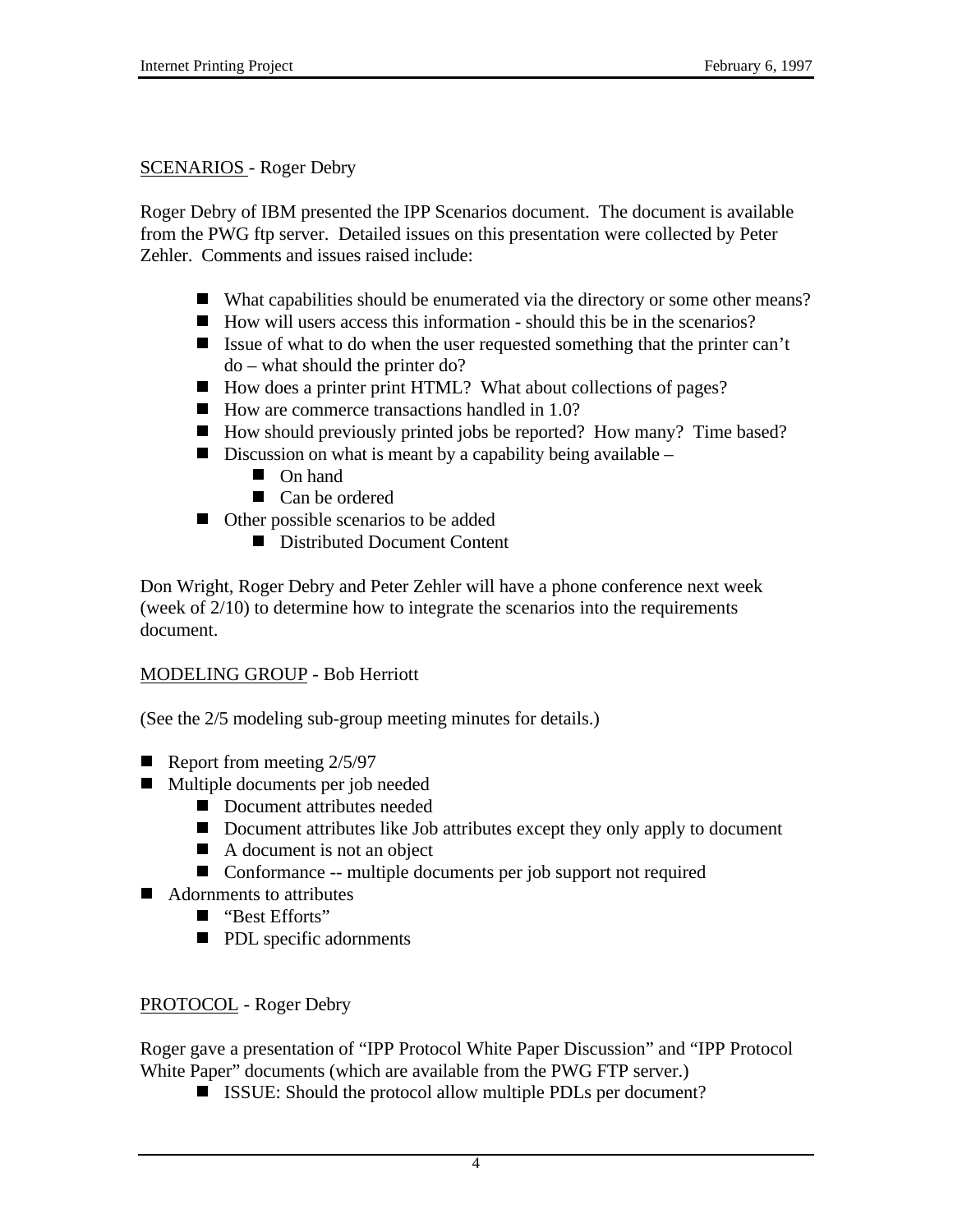#### SCENARIOS - Roger Debry

Roger Debry of IBM presented the IPP Scenarios document. The document is available from the PWG ftp server. Detailed issues on this presentation were collected by Peter Zehler. Comments and issues raised include:

- What capabilities should be enumerated via the directory or some other means?
- $\blacksquare$  How will users access this information should this be in the scenarios?
- Issue of what to do when the user requested something that the printer can't do – what should the printer do?
- How does a printer print HTML? What about collections of pages?
- $\blacksquare$  How are commerce transactions handled in 1.0?
- How should previously printed jobs be reported? How many? Time based?
- Discussion on what is meant by a capability being available
	- **On hand**
	- Can be ordered
- Other possible scenarios to be added
	- Distributed Document Content

Don Wright, Roger Debry and Peter Zehler will have a phone conference next week (week of 2/10) to determine how to integrate the scenarios into the requirements document.

#### MODELING GROUP - Bob Herriott

(See the 2/5 modeling sub-group meeting minutes for details.)

- Report from meeting  $2/5/97$
- $\blacksquare$  Multiple documents per job needed
	- $\overrightarrow{ }$  Document attributes needed
	- Document attributes like Job attributes except they only apply to document
	- A document is not an object
	- Conformance -- multiple documents per job support not required
- Adornments to attributes
	- "Best Efforts"
	- **PDL** specific adornments

### PROTOCOL - Roger Debry

Roger gave a presentation of "IPP Protocol White Paper Discussion" and "IPP Protocol White Paper" documents (which are available from the PWG FTP server.)

 $\blacksquare$  ISSUE: Should the protocol allow multiple PDLs per document?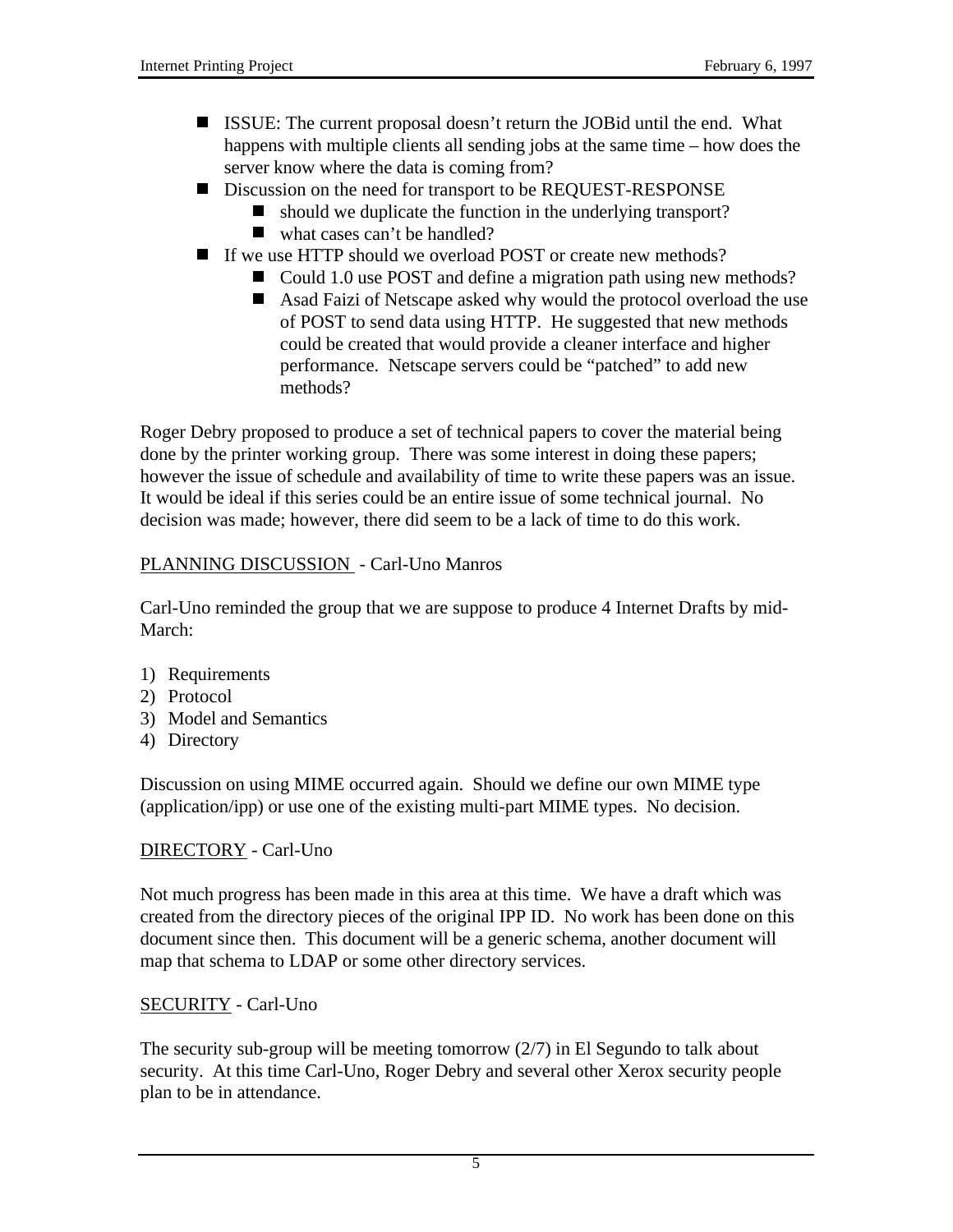- ISSUE: The current proposal doesn't return the JOBid until the end. What happens with multiple clients all sending jobs at the same time – how does the server know where the data is coming from?
- Discussion on the need for transport to be REQUEST-RESPONSE
	- should we duplicate the function in the underlying transport?
	- $\blacksquare$  what cases can't be handled?
- If we use HTTP should we overload POST or create new methods?
	- Could 1.0 use POST and define a migration path using new methods?
	- Asad Faizi of Netscape asked why would the protocol overload the use of POST to send data using HTTP. He suggested that new methods could be created that would provide a cleaner interface and higher performance. Netscape servers could be "patched" to add new methods?

Roger Debry proposed to produce a set of technical papers to cover the material being done by the printer working group. There was some interest in doing these papers; however the issue of schedule and availability of time to write these papers was an issue. It would be ideal if this series could be an entire issue of some technical journal. No decision was made; however, there did seem to be a lack of time to do this work.

# PLANNING DISCUSSION - Carl-Uno Manros

Carl-Uno reminded the group that we are suppose to produce 4 Internet Drafts by mid-March:

- 1) Requirements
- 2) Protocol
- 3) Model and Semantics
- 4) Directory

Discussion on using MIME occurred again. Should we define our own MIME type (application/ipp) or use one of the existing multi-part MIME types. No decision.

### DIRECTORY - Carl-Uno

Not much progress has been made in this area at this time. We have a draft which was created from the directory pieces of the original IPP ID. No work has been done on this document since then. This document will be a generic schema, another document will map that schema to LDAP or some other directory services.

### SECURITY - Carl-Uno

The security sub-group will be meeting tomorrow (2/7) in El Segundo to talk about security. At this time Carl-Uno, Roger Debry and several other Xerox security people plan to be in attendance.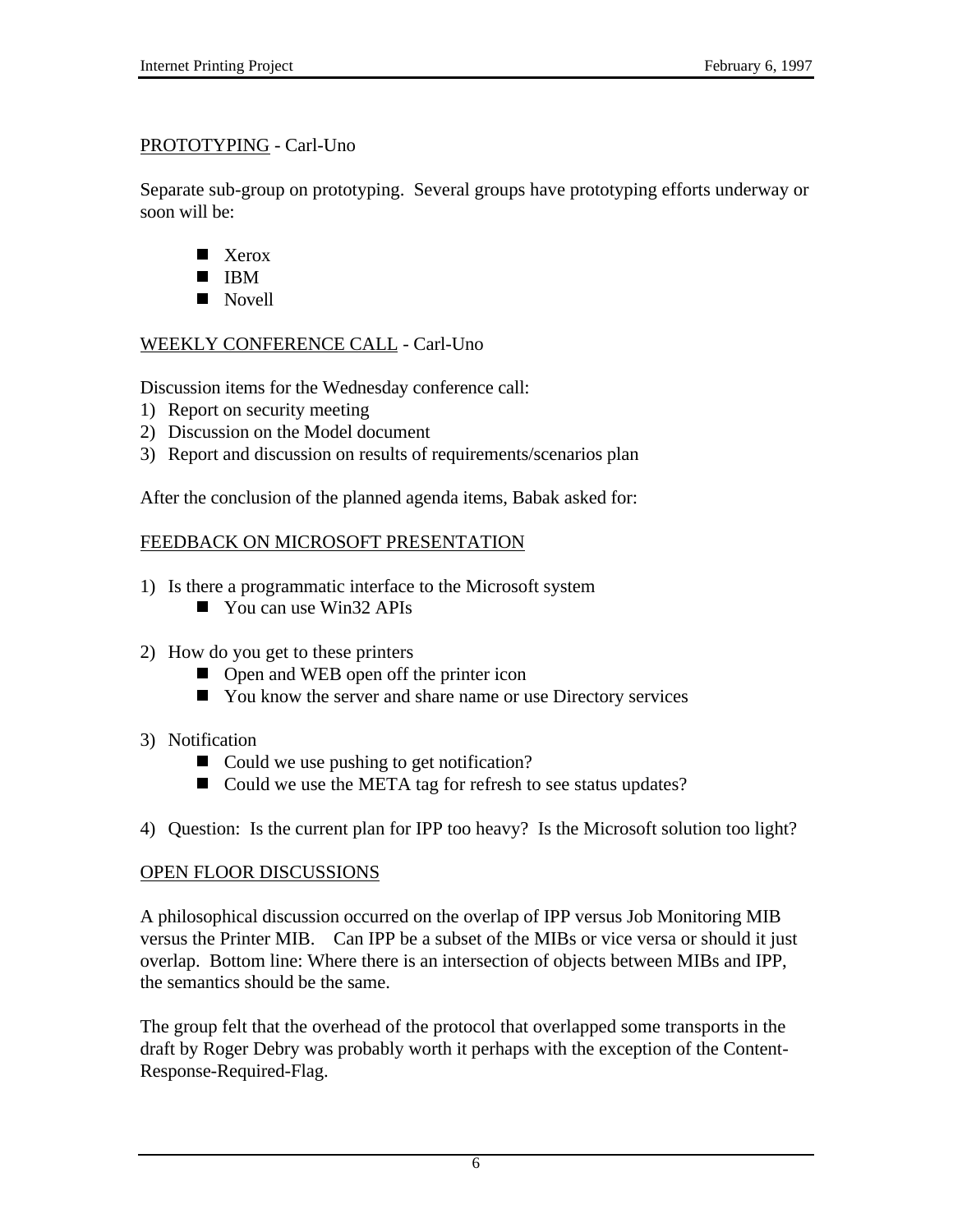### PROTOTYPING - Carl-Uno

Separate sub-group on prototyping. Several groups have prototyping efforts underway or soon will be:

- Xerox
- $\blacksquare$  IBM
- Novell

# WEEKLY CONFERENCE CALL - Carl-Uno

Discussion items for the Wednesday conference call:

- 1) Report on security meeting
- 2) Discussion on the Model document
- 3) Report and discussion on results of requirements/scenarios plan

After the conclusion of the planned agenda items, Babak asked for:

# FEEDBACK ON MICROSOFT PRESENTATION

- 1) Is there a programmatic interface to the Microsoft system
	- $\blacksquare$  You can use Win32 APIs
- 2) How do you get to these printers
	- Open and WEB open off the printer icon
	- You know the server and share name or use Directory services
- 3) Notification
	- Could we use pushing to get notification?
	- Could we use the META tag for refresh to see status updates?
- 4) Question: Is the current plan for IPP too heavy? Is the Microsoft solution too light?

### OPEN FLOOR DISCUSSIONS

A philosophical discussion occurred on the overlap of IPP versus Job Monitoring MIB versus the Printer MIB. Can IPP be a subset of the MIBs or vice versa or should it just overlap. Bottom line: Where there is an intersection of objects between MIBs and IPP, the semantics should be the same.

The group felt that the overhead of the protocol that overlapped some transports in the draft by Roger Debry was probably worth it perhaps with the exception of the Content-Response-Required-Flag.